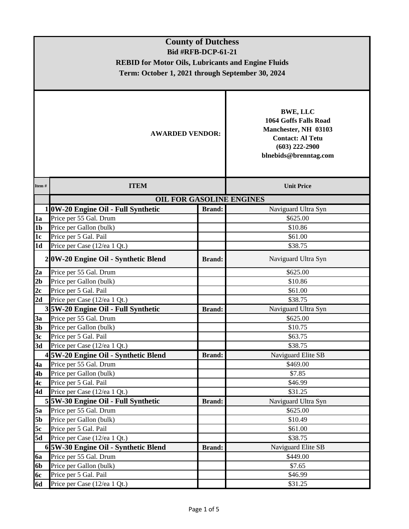| <b>County of Dutchess</b> |                                                           |                           |                                                                                                                                          |  |  |  |  |  |
|---------------------------|-----------------------------------------------------------|---------------------------|------------------------------------------------------------------------------------------------------------------------------------------|--|--|--|--|--|
|                           |                                                           | <b>Bid #RFB-DCP-61-21</b> |                                                                                                                                          |  |  |  |  |  |
|                           | <b>REBID for Motor Oils, Lubricants and Engine Fluids</b> |                           |                                                                                                                                          |  |  |  |  |  |
|                           | Term: October 1, 2021 through September 30, 2024          |                           |                                                                                                                                          |  |  |  |  |  |
|                           |                                                           |                           |                                                                                                                                          |  |  |  |  |  |
|                           |                                                           |                           |                                                                                                                                          |  |  |  |  |  |
| <b>AWARDED VENDOR:</b>    |                                                           |                           | <b>BWE, LLC</b><br>1064 Goffs Falls Road<br>Manchester, NH 03103<br><b>Contact: Al Tetu</b><br>$(603)$ 222-2900<br>blnebids@brenntag.com |  |  |  |  |  |
| Item#                     | <b>ITEM</b>                                               |                           | <b>Unit Price</b>                                                                                                                        |  |  |  |  |  |
|                           | <b>OIL FOR GASOLINE ENGINES</b>                           |                           |                                                                                                                                          |  |  |  |  |  |
|                           | 1 0W-20 Engine Oil - Full Synthetic                       | <b>Brand:</b>             | Naviguard Ultra Syn                                                                                                                      |  |  |  |  |  |
| 1a                        | Price per 55 Gal. Drum                                    |                           | \$625.00                                                                                                                                 |  |  |  |  |  |
| 1 <sub>b</sub>            | Price per Gallon (bulk)                                   |                           | \$10.86                                                                                                                                  |  |  |  |  |  |
| 1c                        | Price per 5 Gal. Pail                                     |                           | \$61.00                                                                                                                                  |  |  |  |  |  |
| 1 <sub>d</sub>            | Price per Case (12/ea 1 Qt.)                              |                           | \$38.75                                                                                                                                  |  |  |  |  |  |
|                           | 2 0W-20 Engine Oil - Synthetic Blend                      | <b>Brand:</b>             | Naviguard Ultra Syn                                                                                                                      |  |  |  |  |  |
| 2a                        | Price per 55 Gal. Drum                                    |                           | \$625.00                                                                                                                                 |  |  |  |  |  |
| 2 <sub>b</sub>            | Price per Gallon (bulk)                                   |                           | \$10.86                                                                                                                                  |  |  |  |  |  |
| 2c                        | Price per 5 Gal. Pail                                     |                           | \$61.00                                                                                                                                  |  |  |  |  |  |
| 2d                        | Price per Case (12/ea 1 Qt.)                              |                           | \$38.75                                                                                                                                  |  |  |  |  |  |
|                           | 3 5W-20 Engine Oil - Full Synthetic                       | <b>Brand:</b>             | Naviguard Ultra Syn                                                                                                                      |  |  |  |  |  |
| 3a                        | Price per 55 Gal. Drum                                    |                           | \$625.00                                                                                                                                 |  |  |  |  |  |
| 3 <sub>b</sub>            | Price per Gallon (bulk)                                   |                           | \$10.75                                                                                                                                  |  |  |  |  |  |
| 3c                        | Price per 5 Gal. Pail                                     |                           | \$63.75                                                                                                                                  |  |  |  |  |  |
| 3d                        | Price per Case (12/ea 1 Qt.)                              |                           | \$38.75                                                                                                                                  |  |  |  |  |  |
|                           | 4 5W-20 Engine Oil - Synthetic Blend                      | <b>Brand:</b>             | Naviguard Elite SB                                                                                                                       |  |  |  |  |  |
| 4a                        | Price per 55 Gal. Drum                                    |                           | \$469.00                                                                                                                                 |  |  |  |  |  |
| 4b                        | Price per Gallon (bulk)                                   |                           | \$7.85                                                                                                                                   |  |  |  |  |  |
| 4c                        | Price per 5 Gal. Pail                                     |                           | \$46.99                                                                                                                                  |  |  |  |  |  |
| 4d                        | Price per Case (12/ea 1 Qt.)                              |                           | \$31.25                                                                                                                                  |  |  |  |  |  |
|                           | 5 5W-30 Engine Oil - Full Synthetic                       | <b>Brand:</b>             | Naviguard Ultra Syn                                                                                                                      |  |  |  |  |  |
| 5a                        | Price per 55 Gal. Drum                                    |                           | \$625.00                                                                                                                                 |  |  |  |  |  |
| <b>5b</b>                 | Price per Gallon (bulk)                                   |                           | \$10.49                                                                                                                                  |  |  |  |  |  |
| 5c                        | Price per 5 Gal. Pail                                     |                           | \$61.00                                                                                                                                  |  |  |  |  |  |
| 5d                        | Price per Case (12/ea 1 Qt.)                              |                           | \$38.75                                                                                                                                  |  |  |  |  |  |
|                           | 6 5W-30 Engine Oil - Synthetic Blend                      | <b>Brand:</b>             | Naviguard Elite SB                                                                                                                       |  |  |  |  |  |
| 6a                        | Price per 55 Gal. Drum                                    |                           | \$449.00                                                                                                                                 |  |  |  |  |  |
| 6b                        | Price per Gallon (bulk)                                   |                           | \$7.65                                                                                                                                   |  |  |  |  |  |
| <b>6c</b>                 | Price per 5 Gal. Pail                                     |                           | \$46.99                                                                                                                                  |  |  |  |  |  |
| <b>6d</b>                 | Price per Case (12/ea 1 Qt.)                              |                           | \$31.25                                                                                                                                  |  |  |  |  |  |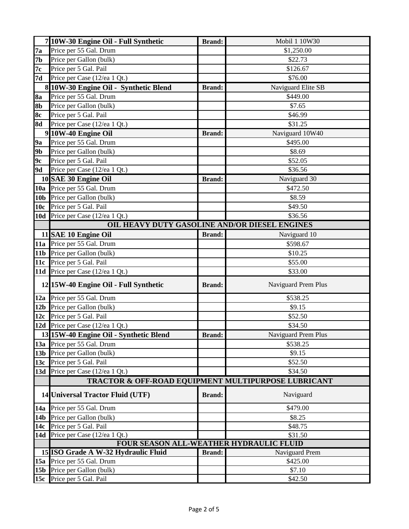|                 | 7 10W-30 Engine Oil - Full Synthetic                | <b>Brand:</b> | Mobil 1 10W30       |  |  |
|-----------------|-----------------------------------------------------|---------------|---------------------|--|--|
| 7a              | Price per 55 Gal. Drum                              |               | \$1,250.00          |  |  |
| <b>7b</b>       | Price per Gallon (bulk)                             |               | \$22.73             |  |  |
| 7c              | Price per 5 Gal. Pail                               |               | \$126.67            |  |  |
| 7d              | Price per Case (12/ea 1 Qt.)                        |               | \$76.00             |  |  |
|                 | 8 10W-30 Engine Oil - Synthetic Blend               | <b>Brand:</b> | Naviguard Elite SB  |  |  |
| <b>8a</b>       | Price per 55 Gal. Drum                              |               | \$449.00            |  |  |
| 8b              | Price per Gallon (bulk)                             |               | \$7.65              |  |  |
| <b>8c</b>       | Price per 5 Gal. Pail                               |               | \$46.99             |  |  |
| <b>8d</b>       | Price per Case (12/ea 1 Qt.)                        |               | \$31.25             |  |  |
|                 | 9 10W-40 Engine Oil                                 | <b>Brand:</b> | Naviguard 10W40     |  |  |
| <b>9a</b>       | Price per 55 Gal. Drum                              |               | \$495.00            |  |  |
| 9 <sub>b</sub>  | Price per Gallon (bulk)                             |               | \$8.69              |  |  |
| 9c              | Price per 5 Gal. Pail                               |               | \$52.05             |  |  |
| <b>9d</b>       | Price per Case (12/ea 1 Qt.)                        |               | \$36.56             |  |  |
|                 | 10 SAE 30 Engine Oil                                | <b>Brand:</b> | Naviguard 30        |  |  |
|                 | 10a Price per 55 Gal. Drum                          |               | \$472.50            |  |  |
| 10 <sub>b</sub> | Price per Gallon (bulk)                             |               | \$8.59              |  |  |
| 10 <sub>c</sub> | Price per 5 Gal. Pail                               |               | \$49.50             |  |  |
|                 | 10d Price per Case (12/ea 1 Qt.)                    |               | \$36.56             |  |  |
|                 | OIL HEAVY DUTY GASOLINE AND/OR DIESEL ENGINES       |               |                     |  |  |
|                 | 11 SAE 10 Engine Oil                                | <b>Brand:</b> | Naviguard 10        |  |  |
|                 | 11a Price per 55 Gal. Drum                          |               | \$598.67            |  |  |
|                 | 11b Price per Gallon (bulk)                         |               | \$10.25             |  |  |
| 11c             | Price per 5 Gal. Pail                               |               | \$55.00             |  |  |
|                 | 11d Price per Case (12/ea 1 Qt.)                    |               | \$33.00             |  |  |
|                 | 12 15W-40 Engine Oil - Full Synthetic               | <b>Brand:</b> | Naviguard Prem Plus |  |  |
| 12a             | Price per 55 Gal. Drum                              |               | \$538.25            |  |  |
| 12 <sub>b</sub> | Price per Gallon (bulk)                             |               | \$9.15              |  |  |
| 12c             | Price per 5 Gal. Pail                               |               | \$52.50             |  |  |
|                 | 12d Price per Case (12/ea 1 Qt.)                    |               | \$34.50             |  |  |
|                 | 13 15W-40 Engine Oil - Synthetic Blend              | <b>Brand:</b> | Naviguard Prem Plus |  |  |
|                 | 13a Price per 55 Gal. Drum                          |               | \$538.25            |  |  |
|                 | 13b Price per Gallon (bulk)                         |               | \$9.15              |  |  |
|                 | 13c Price per 5 Gal. Pail                           |               | \$52.50             |  |  |
|                 | 13d Price per Case (12/ea 1 Qt.)                    |               | \$34.50             |  |  |
|                 | TRACTOR & OFF-ROAD EQUIPMENT MULTIPURPOSE LUBRICANT |               |                     |  |  |
|                 |                                                     |               |                     |  |  |
|                 | 14 Universal Tractor Fluid (UTF)                    | <b>Brand:</b> | Naviguard           |  |  |
|                 | 14a Price per 55 Gal. Drum                          |               | \$479.00            |  |  |
|                 | 14b Price per Gallon (bulk)                         |               | \$8.25              |  |  |
| 14c             | Price per 5 Gal. Pail                               |               | \$48.75             |  |  |
|                 | 14d Price per Case (12/ea 1 Qt.)                    |               | \$31.50             |  |  |
|                 | FOUR SEASON ALL-WEATHER HYDRAULIC FLUID             |               |                     |  |  |
|                 | 15 ISO Grade A W-32 Hydraulic Fluid                 | <b>Brand:</b> | Naviguard Prem      |  |  |
| 15a             | Price per 55 Gal. Drum                              |               | \$425.00            |  |  |
| 15 <sub>b</sub> | Price per Gallon (bulk)                             |               | \$7.10              |  |  |
|                 | 15c Price per 5 Gal. Pail                           |               | \$42.50             |  |  |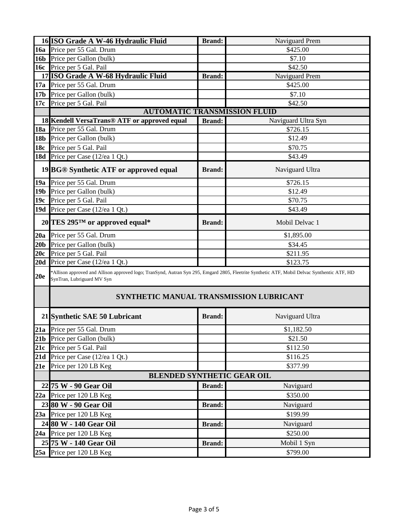|                 | 16 ISO Grade A W-46 Hydraulic Fluid                                                                                                                                        | <b>Brand:</b> | Naviguard Prem      |  |  |  |
|-----------------|----------------------------------------------------------------------------------------------------------------------------------------------------------------------------|---------------|---------------------|--|--|--|
|                 | 16a Price per 55 Gal. Drum                                                                                                                                                 |               | \$425.00            |  |  |  |
| <b>16b</b>      | Price per Gallon (bulk)                                                                                                                                                    |               | \$7.10              |  |  |  |
| <b>16c</b>      | Price per 5 Gal. Pail                                                                                                                                                      |               | \$42.50             |  |  |  |
|                 | 17 ISO Grade A W-68 Hydraulic Fluid                                                                                                                                        | <b>Brand:</b> | Naviguard Prem      |  |  |  |
| 17a             | Price per 55 Gal. Drum                                                                                                                                                     |               | \$425.00            |  |  |  |
| 17 <sub>b</sub> | Price per Gallon (bulk)                                                                                                                                                    |               | \$7.10              |  |  |  |
| 17c             | Price per 5 Gal. Pail                                                                                                                                                      |               | \$42.50             |  |  |  |
|                 | <b>AUTOMATIC TRANSMISSION FLUID</b>                                                                                                                                        |               |                     |  |  |  |
|                 | 18 Kendell VersaTrans <sup>®</sup> ATF or approved equal                                                                                                                   | <b>Brand:</b> | Naviguard Ultra Syn |  |  |  |
| <b>18a</b>      | Price per 55 Gal. Drum                                                                                                                                                     |               | \$726.15            |  |  |  |
| <b>18b</b>      | Price per Gallon (bulk)                                                                                                                                                    |               | \$12.49             |  |  |  |
| 18c             | Price per 5 Gal. Pail                                                                                                                                                      |               | \$70.75             |  |  |  |
|                 | <b>18d</b> Price per Case (12/ea 1 Qt.)                                                                                                                                    |               | \$43.49             |  |  |  |
|                 | 19 BG® Synthetic ATF or approved equal                                                                                                                                     | <b>Brand:</b> | Naviguard Ultra     |  |  |  |
| 19a             | Price per 55 Gal. Drum                                                                                                                                                     |               | \$726.15            |  |  |  |
| 19 <sub>b</sub> | Price per Gallon (bulk)                                                                                                                                                    |               | \$12.49             |  |  |  |
| 19c             | Price per 5 Gal. Pail                                                                                                                                                      |               | \$70.75             |  |  |  |
|                 | 19d Price per Case (12/ea 1 Qt.)                                                                                                                                           |               | \$43.49             |  |  |  |
|                 | 20 TES 295™ or approved equal*                                                                                                                                             | <b>Brand:</b> | Mobil Delvac 1      |  |  |  |
| 20a             | Price per 55 Gal. Drum                                                                                                                                                     |               | \$1,895.00          |  |  |  |
| 20 <sub>b</sub> | Price per Gallon (bulk)                                                                                                                                                    |               | \$34.45             |  |  |  |
| 20c             | Price per 5 Gal. Pail                                                                                                                                                      |               | \$211.95            |  |  |  |
| 20d             | Price per Case (12/ea 1 Qt.)                                                                                                                                               |               | \$123.75            |  |  |  |
| 20e             | *Allison approved and Allison approved logo; TranSynd, Autran Syn 295, Emgard 2805, Fleetrite Synthetic ATF, Mobil Delvac Synthentic ATF, HD<br>SynTran, Lubriguard MV Syn |               |                     |  |  |  |
|                 | SYNTHETIC MANUAL TRANSMISSION LUBRICANT                                                                                                                                    |               |                     |  |  |  |
|                 | 21 Synthetic SAE 50 Lubricant                                                                                                                                              | <b>Brand:</b> | Naviguard Ultra     |  |  |  |
|                 | 21a Price per 55 Gal. Drum                                                                                                                                                 |               | \$1,182.50          |  |  |  |
|                 | 21b Price per Gallon (bulk)                                                                                                                                                |               | \$21.50             |  |  |  |
| 21c             | Price per 5 Gal. Pail                                                                                                                                                      |               | \$112.50            |  |  |  |
|                 | 21d Price per Case (12/ea 1 Qt.)                                                                                                                                           |               | \$116.25            |  |  |  |
| 21e             | Price per 120 LB Keg                                                                                                                                                       |               | \$377.99            |  |  |  |
|                 | <b>BLENDED SYNTHETIC GEAR OIL</b>                                                                                                                                          |               |                     |  |  |  |
|                 | 22 75 W - 90 Gear Oil                                                                                                                                                      | <b>Brand:</b> | Naviguard           |  |  |  |
| 22a             | Price per 120 LB Keg                                                                                                                                                       |               | \$350.00            |  |  |  |
|                 | 23 80 W - 90 Gear Oil                                                                                                                                                      | <b>Brand:</b> | Naviguard           |  |  |  |
|                 | 23a Price per 120 LB Keg                                                                                                                                                   |               | \$199.99            |  |  |  |
|                 | 24 80 W - 140 Gear Oil                                                                                                                                                     | <b>Brand:</b> | Naviguard           |  |  |  |
|                 | 24a Price per 120 LB Keg                                                                                                                                                   |               | \$250.00            |  |  |  |
|                 | 25 75 W - 140 Gear Oil                                                                                                                                                     | <b>Brand:</b> | Mobil 1 Syn         |  |  |  |
| 25a             | Price per 120 LB Keg                                                                                                                                                       |               | \$799.00            |  |  |  |
|                 |                                                                                                                                                                            |               |                     |  |  |  |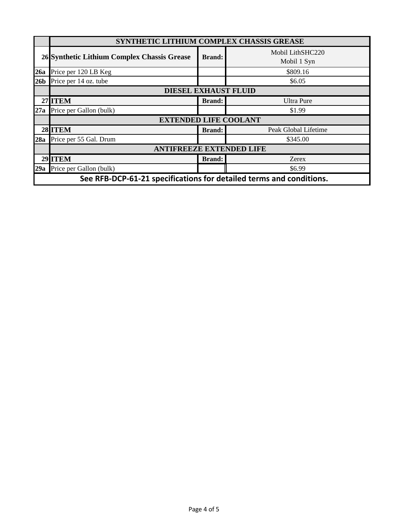|                                                                     | SYNTHETIC LITHIUM COMPLEX CHASSIS GREASE    |               |                                 |  |  |
|---------------------------------------------------------------------|---------------------------------------------|---------------|---------------------------------|--|--|
|                                                                     | 26 Synthetic Lithium Complex Chassis Grease | <b>Brand:</b> | Mobil LithSHC220<br>Mobil 1 Syn |  |  |
| 26a                                                                 | Price per 120 LB Keg                        |               | \$809.16                        |  |  |
| 26 <sub>b</sub>                                                     | Price per 14 oz. tube                       |               | \$6.05                          |  |  |
|                                                                     | <b>DIESEL EXHAUST FLUID</b>                 |               |                                 |  |  |
|                                                                     | <b>27 ITEM</b>                              | <b>Brand:</b> | <b>Ultra Pure</b>               |  |  |
| 27a                                                                 | Price per Gallon (bulk)                     |               | \$1.99                          |  |  |
|                                                                     | <b>EXTENDED LIFE COOLANT</b>                |               |                                 |  |  |
|                                                                     | 28 ITEM                                     | <b>Brand:</b> | Peak Global Lifetime            |  |  |
| 28a                                                                 | Price per 55 Gal. Drum                      |               | \$345.00                        |  |  |
|                                                                     | <b>ANTIFREEZE EXTENDED LIFE</b>             |               |                                 |  |  |
|                                                                     | 29 ITEM                                     | <b>Brand:</b> | Zerex                           |  |  |
|                                                                     | 29a Price per Gallon (bulk)                 |               | \$6.99                          |  |  |
| See RFB-DCP-61-21 specifications for detailed terms and conditions. |                                             |               |                                 |  |  |